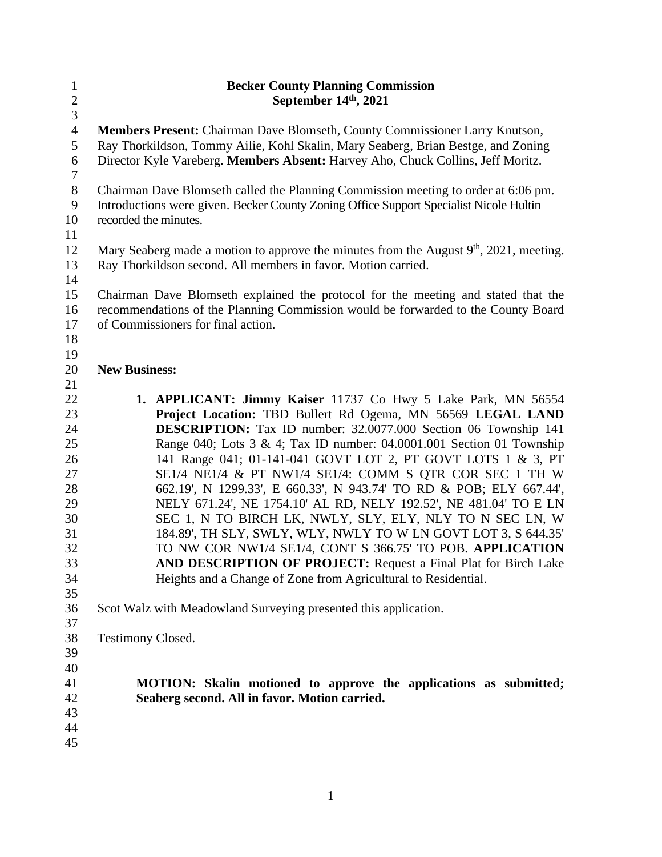| $\mathbf{1}$   | <b>Becker County Planning Commission</b>                                                 |  |
|----------------|------------------------------------------------------------------------------------------|--|
| $\overline{c}$ | September 14th, 2021                                                                     |  |
| $\overline{3}$ |                                                                                          |  |
| $\overline{4}$ | Members Present: Chairman Dave Blomseth, County Commissioner Larry Knutson,              |  |
| 5              | Ray Thorkildson, Tommy Ailie, Kohl Skalin, Mary Seaberg, Brian Bestge, and Zoning        |  |
| 6              | Director Kyle Vareberg. Members Absent: Harvey Aho, Chuck Collins, Jeff Moritz.          |  |
| $\tau$         |                                                                                          |  |
| $8\,$          | Chairman Dave Blomseth called the Planning Commission meeting to order at 6:06 pm.       |  |
| $\mathbf{9}$   | Introductions were given. Becker County Zoning Office Support Specialist Nicole Hultin   |  |
| 10             | recorded the minutes.                                                                    |  |
| 11             |                                                                                          |  |
| 12             | Mary Seaberg made a motion to approve the minutes from the August $9th$ , 2021, meeting. |  |
| 13             | Ray Thorkildson second. All members in favor. Motion carried.                            |  |
| 14             |                                                                                          |  |
| 15             | Chairman Dave Blomseth explained the protocol for the meeting and stated that the        |  |
| 16             | recommendations of the Planning Commission would be forwarded to the County Board        |  |
| 17             | of Commissioners for final action.                                                       |  |
| 18<br>19       |                                                                                          |  |
| 20             | <b>New Business:</b>                                                                     |  |
| 21             |                                                                                          |  |
| 22             | 1. APPLICANT: Jimmy Kaiser 11737 Co Hwy 5 Lake Park, MN 56554                            |  |
| 23             | Project Location: TBD Bullert Rd Ogema, MN 56569 LEGAL LAND                              |  |
| 24             | <b>DESCRIPTION:</b> Tax ID number: 32.0077.000 Section 06 Township 141                   |  |
| 25             | Range 040; Lots 3 & 4; Tax ID number: 04.0001.001 Section 01 Township                    |  |
| 26             | 141 Range 041; 01-141-041 GOVT LOT 2, PT GOVT LOTS 1 & 3, PT                             |  |
| 27             | SE1/4 NE1/4 & PT NW1/4 SE1/4: COMM S QTR COR SEC 1 TH W                                  |  |
| 28             | 662.19', N 1299.33', E 660.33', N 943.74' TO RD & POB; ELY 667.44',                      |  |
| 29             | NELY 671.24', NE 1754.10' AL RD, NELY 192.52', NE 481.04' TO E LN                        |  |
| 30             | SEC 1, N TO BIRCH LK, NWLY, SLY, ELY, NLY TO N SEC LN, W                                 |  |
| 31             | 184.89', TH SLY, SWLY, WLY, NWLY TO W LN GOVT LOT 3, S 644.35'                           |  |
| 32             | TO NW COR NW1/4 SE1/4, CONT S 366.75' TO POB. APPLICATION                                |  |
| 33             | AND DESCRIPTION OF PROJECT: Request a Final Plat for Birch Lake                          |  |
| 34             | Heights and a Change of Zone from Agricultural to Residential.                           |  |
| 35             |                                                                                          |  |
| 36             | Scot Walz with Meadowland Surveying presented this application.                          |  |
| 37             |                                                                                          |  |
| 38             | <b>Testimony Closed.</b>                                                                 |  |
| 39             |                                                                                          |  |
| 40             |                                                                                          |  |
| 41             | MOTION: Skalin motioned to approve the applications as submitted;                        |  |
| 42             | Seaberg second. All in favor. Motion carried.                                            |  |
| 43             |                                                                                          |  |
| 44             |                                                                                          |  |
| 45             |                                                                                          |  |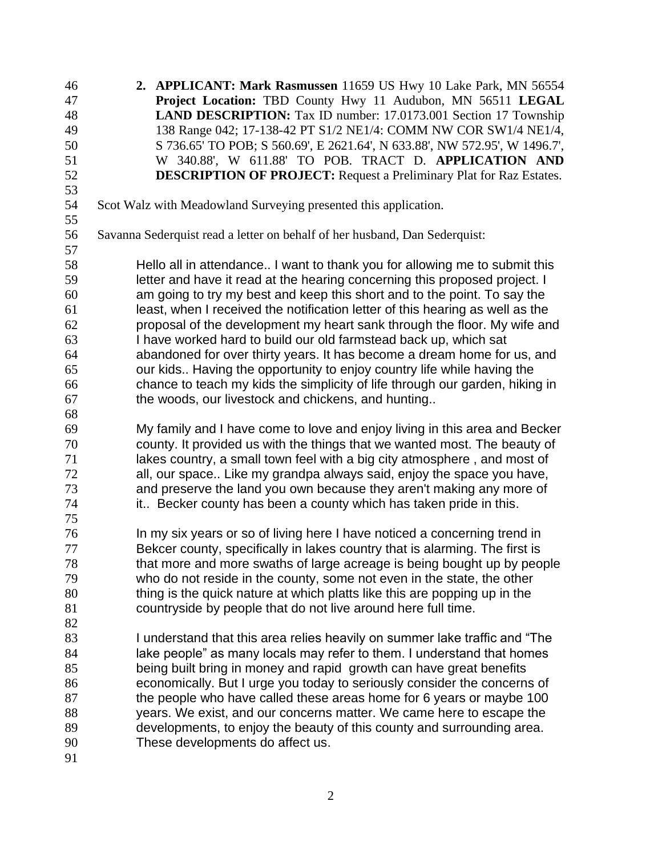**2. APPLICANT: Mark Rasmussen** 11659 US Hwy 10 Lake Park, MN 56554 **Project Location:** TBD County Hwy 11 Audubon, MN 56511 **LEGAL LAND DESCRIPTION:** Tax ID number: 17.0173.001 Section 17 Township 138 Range 042; 17-138-42 PT S1/2 NE1/4: COMM NW COR SW1/4 NE1/4, S 736.65' TO POB; S 560.69', E 2621.64', N 633.88', NW 572.95', W 1496.7', W 340.88', W 611.88' TO POB. TRACT D. **APPLICATION AND DESCRIPTION OF PROJECT:** Request a Preliminary Plat for Raz Estates. Scot Walz with Meadowland Surveying presented this application. Savanna Sederquist read a letter on behalf of her husband, Dan Sederquist: Hello all in attendance.. I want to thank you for allowing me to submit this letter and have it read at the hearing concerning this proposed project. I am going to try my best and keep this short and to the point. To say the least, when I received the notification letter of this hearing as well as the proposal of the development my heart sank through the floor. My wife and I have worked hard to build our old farmstead back up, which sat abandoned for over thirty years. It has become a dream home for us, and our kids.. Having the opportunity to enjoy country life while having the chance to teach my kids the simplicity of life through our garden, hiking in the woods, our livestock and chickens, and hunting.. My family and I have come to love and enjoy living in this area and Becker county. It provided us with the things that we wanted most. The beauty of lakes country, a small town feel with a big city atmosphere , and most of all, our space.. Like my grandpa always said, enjoy the space you have, and preserve the land you own because they aren't making any more of 74 it.. Becker county has been a county which has taken pride in this. In my six years or so of living here I have noticed a concerning trend in Bekcer county, specifically in lakes country that is alarming. The first is that more and more swaths of large acreage is being bought up by people who do not reside in the county, some not even in the state, the other thing is the quick nature at which platts like this are popping up in the countryside by people that do not live around here full time. I understand that this area relies heavily on summer lake traffic and "The 84 lake people" as many locals may refer to them. I understand that homes being built bring in money and rapid growth can have great benefits economically. But I urge you today to seriously consider the concerns of 87 the people who have called these areas home for 6 years or maybe 100 years. We exist, and our concerns matter. We came here to escape the developments, to enjoy the beauty of this county and surrounding area. These developments do affect us.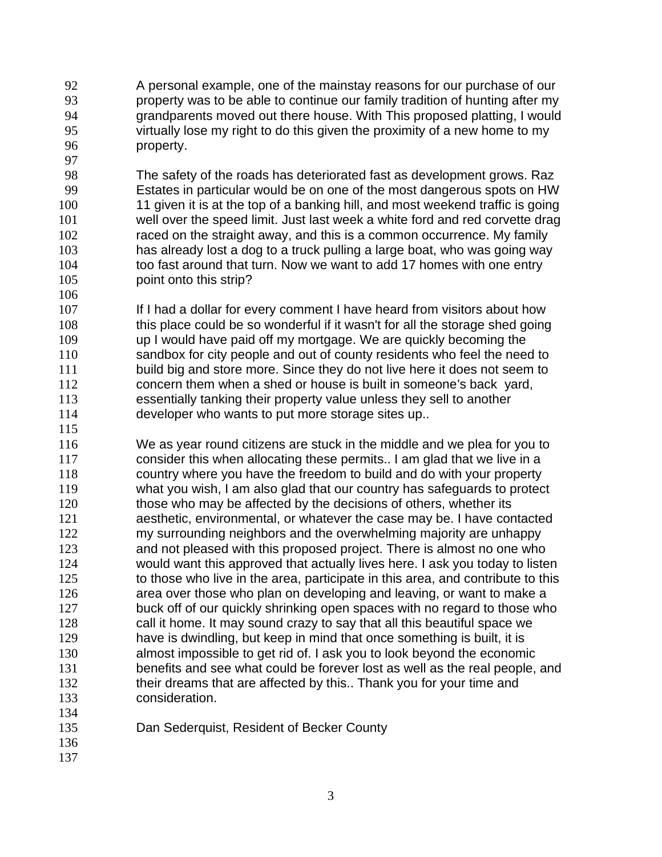A personal example, one of the mainstay reasons for our purchase of our property was to be able to continue our family tradition of hunting after my grandparents moved out there house. With This proposed platting, I would virtually lose my right to do this given the proximity of a new home to my property.

 The safety of the roads has deteriorated fast as development grows. Raz Estates in particular would be on one of the most dangerous spots on HW 11 given it is at the top of a banking hill, and most weekend traffic is going well over the speed limit. Just last week a white ford and red corvette drag raced on the straight away, and this is a common occurrence. My family has already lost a dog to a truck pulling a large boat, who was going way 104 too fast around that turn. Now we want to add 17 homes with one entry point onto this strip?

107 If I had a dollar for every comment I have heard from visitors about how 108 this place could be so wonderful if it wasn't for all the storage shed going up I would have paid off my mortgage. We are quickly becoming the sandbox for city people and out of county residents who feel the need to 111 build big and store more. Since they do not live here it does not seem to concern them when a shed or house is built in someone's back yard, essentially tanking their property value unless they sell to another developer who wants to put more storage sites up.. 

 We as year round citizens are stuck in the middle and we plea for you to consider this when allocating these permits.. I am glad that we live in a country where you have the freedom to build and do with your property what you wish, I am also glad that our country has safeguards to protect 120 those who may be affected by the decisions of others, whether its aesthetic, environmental, or whatever the case may be. I have contacted my surrounding neighbors and the overwhelming majority are unhappy and not pleased with this proposed project. There is almost no one who would want this approved that actually lives here. I ask you today to listen to those who live in the area, participate in this area, and contribute to this area over those who plan on developing and leaving, or want to make a 127 buck off of our quickly shrinking open spaces with no regard to those who call it home. It may sound crazy to say that all this beautiful space we have is dwindling, but keep in mind that once something is built, it is almost impossible to get rid of. I ask you to look beyond the economic benefits and see what could be forever lost as well as the real people, and 132 their dreams that are affected by this.. Thank you for your time and consideration.

- Dan Sederquist, Resident of Becker County
-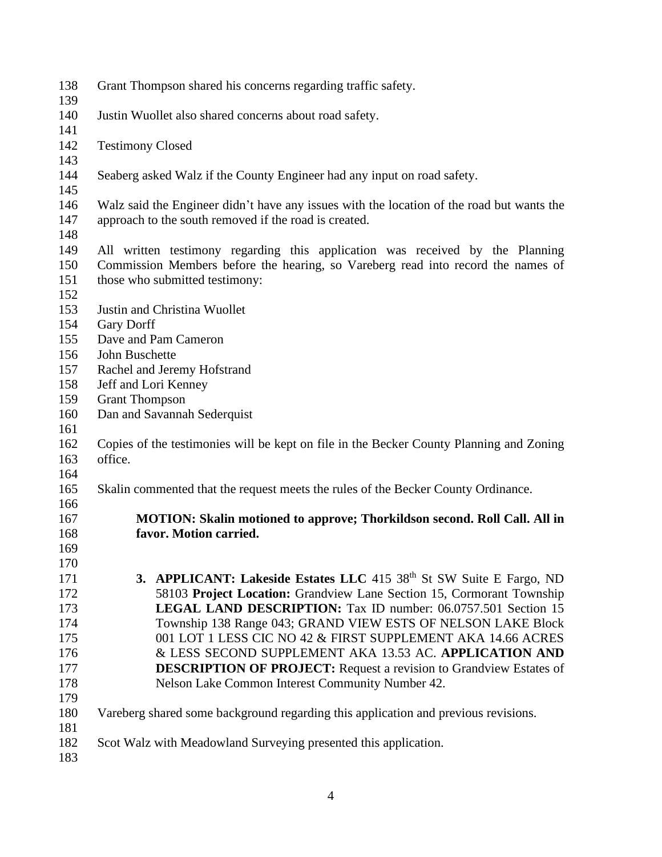- Grant Thompson shared his concerns regarding traffic safety.
- Justin Wuollet also shared concerns about road safety.
- Testimony Closed
- Seaberg asked Walz if the County Engineer had any input on road safety.
- Walz said the Engineer didn't have any issues with the location of the road but wants the approach to the south removed if the road is created.
- 

 All written testimony regarding this application was received by the Planning Commission Members before the hearing, so Vareberg read into record the names of those who submitted testimony:

- 
- Justin and Christina Wuollet
- Gary Dorff
- Dave and Pam Cameron
- John Buschette
- Rachel and Jeremy Hofstrand
- Jeff and Lori Kenney
- Grant Thompson
- Dan and Savannah Sederquist
- 
- Copies of the testimonies will be kept on file in the Becker County Planning and Zoning office.
- 
- Skalin commented that the request meets the rules of the Becker County Ordinance.
- 

 

- **MOTION: Skalin motioned to approve; Thorkildson second. Roll Call. All in favor. Motion carried.**
- **3. APPLICANT: Lakeside Estates LLC** 415 38<sup>th</sup> St SW Suite E Fargo, ND 58103 **Project Location:** Grandview Lane Section 15, Cormorant Township **LEGAL LAND DESCRIPTION:** Tax ID number: 06.0757.501 Section 15 Township 138 Range 043; GRAND VIEW ESTS OF NELSON LAKE Block 001 LOT 1 LESS CIC NO 42 & FIRST SUPPLEMENT AKA 14.66 ACRES & LESS SECOND SUPPLEMENT AKA 13.53 AC. **APPLICATION AND DESCRIPTION OF PROJECT:** Request a revision to Grandview Estates of Nelson Lake Common Interest Community Number 42.
- - Vareberg shared some background regarding this application and previous revisions.
	- Scot Walz with Meadowland Surveying presented this application.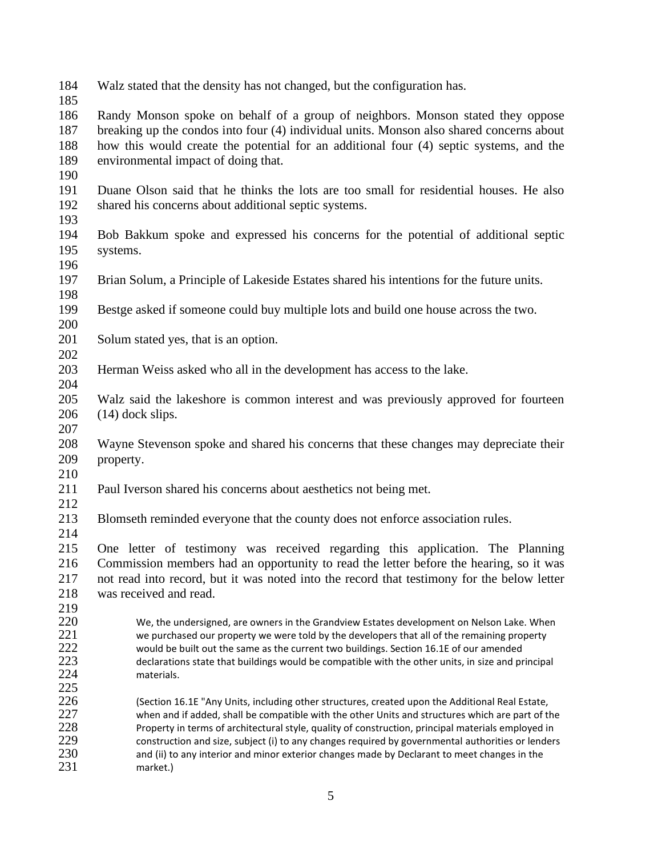- Walz stated that the density has not changed, but the configuration has.
- 

 Randy Monson spoke on behalf of a group of neighbors. Monson stated they oppose breaking up the condos into four (4) individual units. Monson also shared concerns about how this would create the potential for an additional four (4) septic systems, and the environmental impact of doing that.

- 
- Duane Olson said that he thinks the lots are too small for residential houses. He also shared his concerns about additional septic systems.
- 
- Bob Bakkum spoke and expressed his concerns for the potential of additional septic systems.
- Brian Solum, a Principle of Lakeside Estates shared his intentions for the future units.
- Bestge asked if someone could buy multiple lots and build one house across the two.
- 

- 201 Solum stated yes, that is an option.
- 

- Herman Weiss asked who all in the development has access to the lake.
- Walz said the lakeshore is common interest and was previously approved for fourteen (14) dock slips.
- 
- Wayne Stevenson spoke and shared his concerns that these changes may depreciate their property.
- 
- Paul Iverson shared his concerns about aesthetics not being met.
- 
- Blomseth reminded everyone that the county does not enforce association rules.
- 

 One letter of testimony was received regarding this application. The Planning Commission members had an opportunity to read the letter before the hearing, so it was not read into record, but it was noted into the record that testimony for the below letter was received and read.

219<br>220

220 We, the undersigned, are owners in the Grandview Estates development on Nelson Lake. When<br>221 we purchased our property we were told by the developers that all of the remaining property we purchased our property we were told by the developers that all of the remaining property 222 would be built out the same as the current two buildings. Section 16.1E of our amended<br>223 declarations state that buildings would be compatible with the other units, in size and pr 223 declarations state that buildings would be compatible with the other units, in size and principal 224 materials.

226 (Section 16.1E "Any Units, including other structures, created upon the Additional Real Estate,<br>227 when and if added. shall be compatible with the other Units and structures which are part of the 227 when and if added, shall be compatible with the other Units and structures which are part of the<br>228 Property in terms of architectural style, quality of construction, principal materials employed in Property in terms of architectural style, quality of construction, principal materials employed in 229 construction and size, subject (i) to any changes required by governmental authorities or lenders<br>230 and (ii) to any interior and minor exterior changes made by Declarant to meet changes in the 230 and (ii) to any interior and minor exterior changes made by Declarant to meet changes in the 231 market.)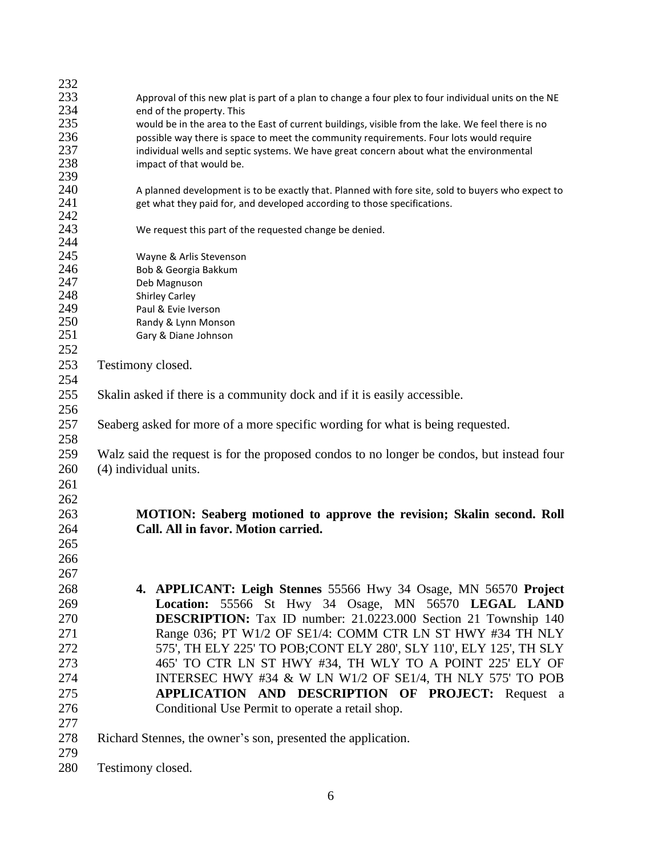| 232 |                                                                                                      |  |  |
|-----|------------------------------------------------------------------------------------------------------|--|--|
| 233 | Approval of this new plat is part of a plan to change a four plex to four individual units on the NE |  |  |
| 234 | end of the property. This                                                                            |  |  |
| 235 | would be in the area to the East of current buildings, visible from the lake. We feel there is no    |  |  |
| 236 | possible way there is space to meet the community requirements. Four lots would require              |  |  |
| 237 | individual wells and septic systems. We have great concern about what the environmental              |  |  |
| 238 | impact of that would be.                                                                             |  |  |
| 239 |                                                                                                      |  |  |
| 240 | A planned development is to be exactly that. Planned with fore site, sold to buyers who expect to    |  |  |
| 241 | get what they paid for, and developed according to those specifications.                             |  |  |
| 242 |                                                                                                      |  |  |
| 243 | We request this part of the requested change be denied.                                              |  |  |
| 244 |                                                                                                      |  |  |
| 245 | Wayne & Arlis Stevenson                                                                              |  |  |
| 246 | Bob & Georgia Bakkum                                                                                 |  |  |
| 247 | Deb Magnuson                                                                                         |  |  |
| 248 | <b>Shirley Carley</b>                                                                                |  |  |
| 249 | Paul & Evie Iverson                                                                                  |  |  |
| 250 | Randy & Lynn Monson                                                                                  |  |  |
| 251 | Gary & Diane Johnson                                                                                 |  |  |
| 252 |                                                                                                      |  |  |
| 253 | Testimony closed.                                                                                    |  |  |
| 254 |                                                                                                      |  |  |
|     |                                                                                                      |  |  |
| 255 | Skalin asked if there is a community dock and if it is easily accessible.                            |  |  |
| 256 |                                                                                                      |  |  |
| 257 | Seaberg asked for more of a more specific wording for what is being requested.                       |  |  |
| 258 |                                                                                                      |  |  |
| 259 | Walz said the request is for the proposed condos to no longer be condos, but instead four            |  |  |
| 260 | (4) individual units.                                                                                |  |  |
| 261 |                                                                                                      |  |  |
| 262 |                                                                                                      |  |  |
| 263 | MOTION: Seaberg motioned to approve the revision; Skalin second. Roll                                |  |  |
|     |                                                                                                      |  |  |
| 264 | Call. All in favor. Motion carried.                                                                  |  |  |
| 265 |                                                                                                      |  |  |
| 266 |                                                                                                      |  |  |
| 267 |                                                                                                      |  |  |
| 268 | 4. APPLICANT: Leigh Stennes 55566 Hwy 34 Osage, MN 56570 Project                                     |  |  |
| 269 | Location: 55566 St Hwy 34 Osage, MN 56570 LEGAL LAND                                                 |  |  |
| 270 | <b>DESCRIPTION:</b> Tax ID number: 21.0223.000 Section 21 Township 140                               |  |  |
|     |                                                                                                      |  |  |
| 271 | Range 036; PT W1/2 OF SE1/4: COMM CTR LN ST HWY #34 TH NLY                                           |  |  |
| 272 | 575', TH ELY 225' TO POB;CONT ELY 280', SLY 110', ELY 125', TH SLY                                   |  |  |
| 273 | 465' TO CTR LN ST HWY #34, TH WLY TO A POINT 225' ELY OF                                             |  |  |
| 274 | INTERSEC HWY #34 & W LN W1/2 OF SE1/4, TH NLY 575' TO POB                                            |  |  |
| 275 | APPLICATION AND DESCRIPTION OF PROJECT: Request a                                                    |  |  |
| 276 | Conditional Use Permit to operate a retail shop.                                                     |  |  |
| 277 |                                                                                                      |  |  |
|     |                                                                                                      |  |  |
| 278 | Richard Stennes, the owner's son, presented the application.                                         |  |  |
| 279 |                                                                                                      |  |  |
| 280 | Testimony closed.                                                                                    |  |  |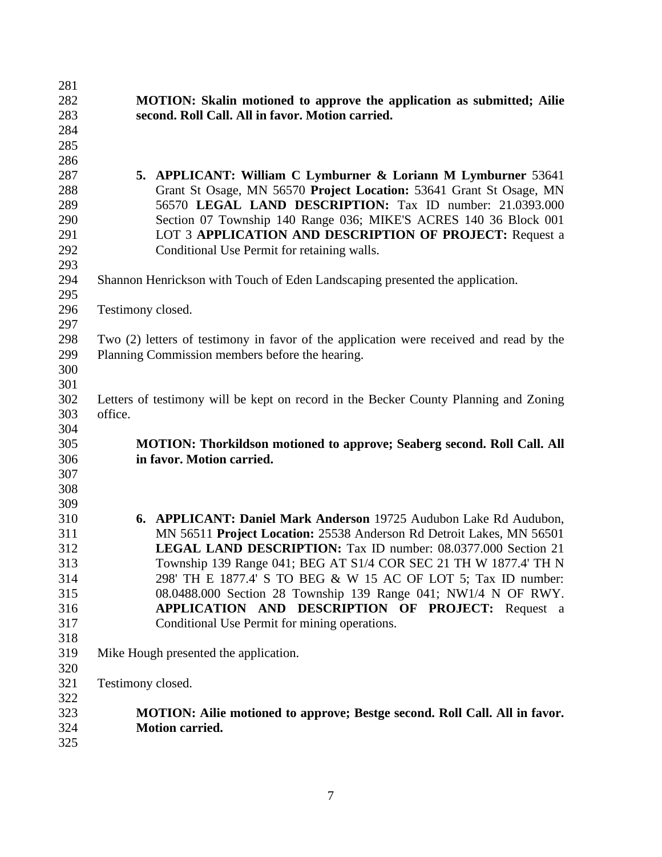| 281 |                                                                                        |  |
|-----|----------------------------------------------------------------------------------------|--|
| 282 | <b>MOTION:</b> Skalin motioned to approve the application as submitted; Ailie          |  |
| 283 | second. Roll Call. All in favor. Motion carried.                                       |  |
| 284 |                                                                                        |  |
| 285 |                                                                                        |  |
| 286 |                                                                                        |  |
| 287 | 5. APPLICANT: William C Lymburner & Loriann M Lymburner 53641                          |  |
| 288 | Grant St Osage, MN 56570 Project Location: 53641 Grant St Osage, MN                    |  |
| 289 | 56570 LEGAL LAND DESCRIPTION: Tax ID number: 21.0393.000                               |  |
| 290 | Section 07 Township 140 Range 036; MIKE'S ACRES 140 36 Block 001                       |  |
| 291 | LOT 3 APPLICATION AND DESCRIPTION OF PROJECT: Request a                                |  |
| 292 | Conditional Use Permit for retaining walls.                                            |  |
| 293 |                                                                                        |  |
| 294 | Shannon Henrickson with Touch of Eden Landscaping presented the application.           |  |
| 295 |                                                                                        |  |
| 296 | Testimony closed.                                                                      |  |
| 297 |                                                                                        |  |
| 298 | Two (2) letters of testimony in favor of the application were received and read by the |  |
| 299 | Planning Commission members before the hearing.                                        |  |
| 300 |                                                                                        |  |
| 301 |                                                                                        |  |
| 302 | Letters of testimony will be kept on record in the Becker County Planning and Zoning   |  |
| 303 | office.                                                                                |  |
| 304 |                                                                                        |  |
| 305 | <b>MOTION: Thorkildson motioned to approve; Seaberg second. Roll Call. All</b>         |  |
| 306 | in favor. Motion carried.                                                              |  |
| 307 |                                                                                        |  |
| 308 |                                                                                        |  |
| 309 |                                                                                        |  |
| 310 | 6. APPLICANT: Daniel Mark Anderson 19725 Audubon Lake Rd Audubon,                      |  |
| 311 | MN 56511 Project Location: 25538 Anderson Rd Detroit Lakes, MN 56501                   |  |
| 312 | <b>LEGAL LAND DESCRIPTION:</b> Tax ID number: 08.0377.000 Section 21                   |  |
| 313 | Township 139 Range 041; BEG AT S1/4 COR SEC 21 TH W 1877.4' TH N                       |  |
| 314 | 298' TH E 1877.4' S TO BEG & W 15 AC OF LOT 5; Tax ID number:                          |  |
| 315 | 08.0488.000 Section 28 Township 139 Range 041; NW1/4 N OF RWY.                         |  |
| 316 | APPLICATION AND DESCRIPTION OF PROJECT: Request a                                      |  |
| 317 | Conditional Use Permit for mining operations.                                          |  |
| 318 |                                                                                        |  |
| 319 | Mike Hough presented the application.                                                  |  |
| 320 |                                                                                        |  |
| 321 | Testimony closed.                                                                      |  |
| 322 |                                                                                        |  |
| 323 | <b>MOTION:</b> Ailie motioned to approve; Bestge second. Roll Call. All in favor.      |  |
| 324 | <b>Motion carried.</b>                                                                 |  |
| 325 |                                                                                        |  |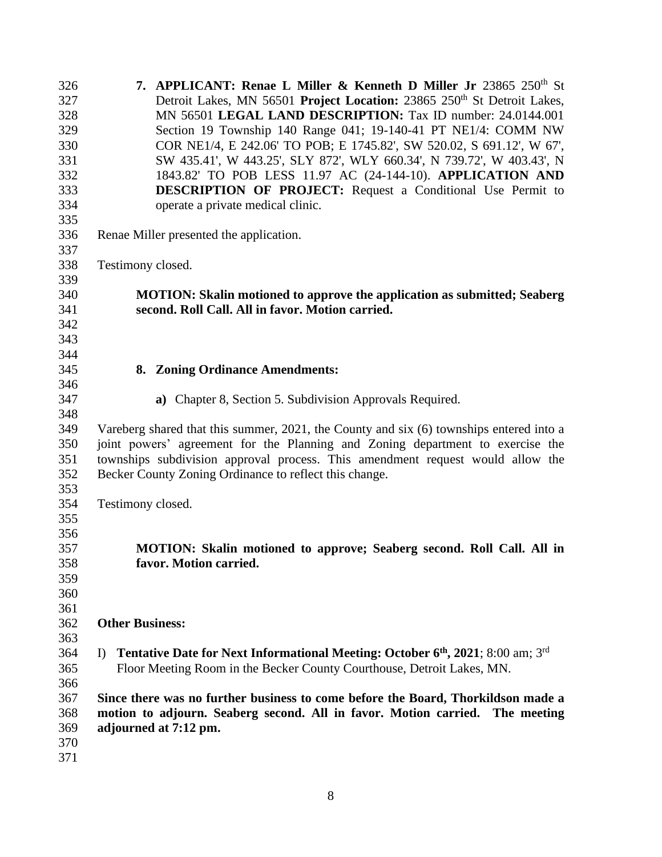| 326 | 7. APPLICANT: Renae L Miller & Kenneth D Miller Jr 23865 250 <sup>th</sup> St              |  |
|-----|--------------------------------------------------------------------------------------------|--|
| 327 | Detroit Lakes, MN 56501 Project Location: 23865 250 <sup>th</sup> St Detroit Lakes,        |  |
| 328 | MN 56501 LEGAL LAND DESCRIPTION: Tax ID number: 24.0144.001                                |  |
| 329 | Section 19 Township 140 Range 041; 19-140-41 PT NE1/4: COMM NW                             |  |
| 330 | COR NE1/4, E 242.06' TO POB; E 1745.82', SW 520.02, S 691.12', W 67',                      |  |
| 331 | SW 435.41', W 443.25', SLY 872', WLY 660.34', N 739.72', W 403.43', N                      |  |
| 332 | 1843.82' TO POB LESS 11.97 AC (24-144-10). APPLICATION AND                                 |  |
| 333 | <b>DESCRIPTION OF PROJECT:</b> Request a Conditional Use Permit to                         |  |
| 334 | operate a private medical clinic.                                                          |  |
| 335 |                                                                                            |  |
| 336 | Renae Miller presented the application.                                                    |  |
| 337 |                                                                                            |  |
| 338 | Testimony closed.                                                                          |  |
| 339 |                                                                                            |  |
| 340 | <b>MOTION: Skalin motioned to approve the application as submitted; Seaberg</b>            |  |
| 341 | second. Roll Call. All in favor. Motion carried.                                           |  |
| 342 |                                                                                            |  |
| 343 |                                                                                            |  |
| 344 |                                                                                            |  |
| 345 | 8. Zoning Ordinance Amendments:                                                            |  |
| 346 |                                                                                            |  |
| 347 | a) Chapter 8, Section 5. Subdivision Approvals Required.                                   |  |
| 348 |                                                                                            |  |
| 349 | Vareberg shared that this summer, 2021, the County and six (6) townships entered into a    |  |
| 350 | joint powers' agreement for the Planning and Zoning department to exercise the             |  |
| 351 | townships subdivision approval process. This amendment request would allow the             |  |
| 352 | Becker County Zoning Ordinance to reflect this change.                                     |  |
| 353 |                                                                                            |  |
| 354 | Testimony closed.                                                                          |  |
| 355 |                                                                                            |  |
| 356 |                                                                                            |  |
| 357 | MOTION: Skalin motioned to approve; Seaberg second. Roll Call. All in                      |  |
| 358 | favor. Motion carried.                                                                     |  |
| 359 |                                                                                            |  |
| 360 |                                                                                            |  |
| 361 |                                                                                            |  |
| 362 | <b>Other Business:</b>                                                                     |  |
| 363 |                                                                                            |  |
| 364 | Tentative Date for Next Informational Meeting: October 6th, 2021; 8:00 am; 3rd<br>$\Gamma$ |  |
| 365 | Floor Meeting Room in the Becker County Courthouse, Detroit Lakes, MN.                     |  |
| 366 |                                                                                            |  |
| 367 | Since there was no further business to come before the Board, Thorkildson made a           |  |
| 368 | motion to adjourn. Seaberg second. All in favor. Motion carried. The meeting               |  |
| 369 | adjourned at 7:12 pm.                                                                      |  |
| 370 |                                                                                            |  |
| 371 |                                                                                            |  |
|     |                                                                                            |  |